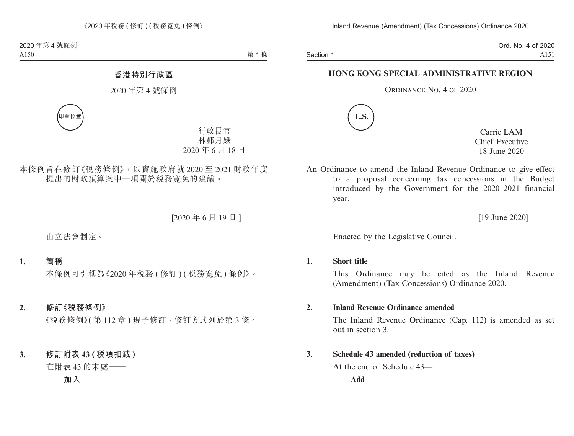Section 1

Ord. No. 4 of 2020 A151

# **HONG KONG SPECIAL ADMINISTRATIVE REGION**

## ORDINANCE NO. 4 OF 2020



Carrie LAM Chief Executive 18 June 2020

An Ordinance to amend the Inland Revenue Ordinance to give effect to a proposal concerning tax concessions in the Budget introduced by the Government for the 2020–2021 financial year.

[19 June 2020]

Enacted by the Legislative Council.

## **1. Short title**

This Ordinance may be cited as the Inland Revenue (Amendment) (Tax Concessions) Ordinance 2020.

## **2. Inland Revenue Ordinance amended**

The Inland Revenue Ordinance (Cap. 112) is amended as set out in section 3.

# **3. Schedule 43 amended (reduction of taxes)**

At the end of Schedule 43—

**Add**